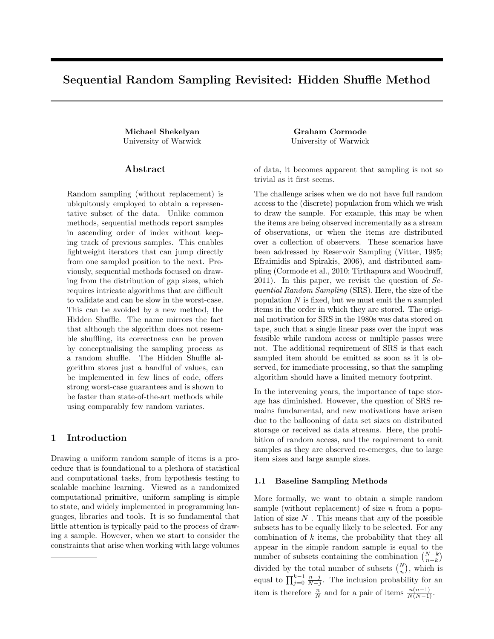# Sequential Random Sampling Revisited: Hidden Shuffle Method

Michael Shekelyan Graham Cormode University of Warwick University of Warwick

## Abstract

Random sampling (without replacement) is ubiquitously employed to obtain a representative subset of the data. Unlike common methods, sequential methods report samples in ascending order of index without keeping track of previous samples. This enables lightweight iterators that can jump directly from one sampled position to the next. Previously, sequential methods focused on drawing from the distribution of gap sizes, which requires intricate algorithms that are difficult to validate and can be slow in the worst-case. This can be avoided by a new method, the Hidden Shuffle. The name mirrors the fact that although the algorithm does not resemble shuffling, its correctness can be proven by conceptualising the sampling process as a random shuffle. The Hidden Shuffle algorithm stores just a handful of values, can be implemented in few lines of code, offers strong worst-case guarantees and is shown to be faster than state-of-the-art methods while using comparably few random variates.

# 1 Introduction

Drawing a uniform random sample of items is a procedure that is foundational to a plethora of statistical and computational tasks, from hypothesis testing to scalable machine learning. Viewed as a randomized computational primitive, uniform sampling is simple to state, and widely implemented in programming languages, libraries and tools. It is so fundamental that little attention is typically paid to the process of drawing a sample. However, when we start to consider the constraints that arise when working with large volumes

of data, it becomes apparent that sampling is not so trivial as it first seems.

The challenge arises when we do not have full random access to the (discrete) population from which we wish to draw the sample. For example, this may be when the items are being observed incrementally as a stream of observations, or when the items are distributed over a collection of observers. These scenarios have been addressed by Reservoir Sampling (Vitter, 1985; Efraimidis and Spirakis, 2006), and distributed sampling (Cormode et al., 2010; Tirthapura and Woodruff, 2011). In this paper, we revisit the question of  $Se$ quential Random Sampling (SRS). Here, the size of the population  $N$  is fixed, but we must emit the  $n$  sampled items in the order in which they are stored. The original motivation for SRS in the 1980s was data stored on tape, such that a single linear pass over the input was feasible while random access or multiple passes were not. The additional requirement of SRS is that each sampled item should be emitted as soon as it is observed, for immediate processing, so that the sampling algorithm should have a limited memory footprint.

In the intervening years, the importance of tape storage has diminished. However, the question of SRS remains fundamental, and new motivations have arisen due to the ballooning of data set sizes on distributed storage or received as data streams. Here, the prohibition of random access, and the requirement to emit samples as they are observed re-emerges, due to large item sizes and large sample sizes.

## 1.1 Baseline Sampling Methods

More formally, we want to obtain a simple random sample (without replacement) of size  $n$  from a population of size  $N$ . This means that any of the possible subsets has to be equally likely to be selected. For any combination of  $k$  items, the probability that they all appear in the simple random sample is equal to the number of subsets containing the combination  $\binom{N-k}{n-k}$ divided by the total number of subsets  $\binom{N}{n}$ , which is equal to  $\prod_{j=0}^{k-1} \frac{n-j}{N-j}$ . The inclusion probability for an item is therefore  $\frac{n}{N}$  and for a pair of items  $\frac{n(n-1)}{N(N-1)}$ .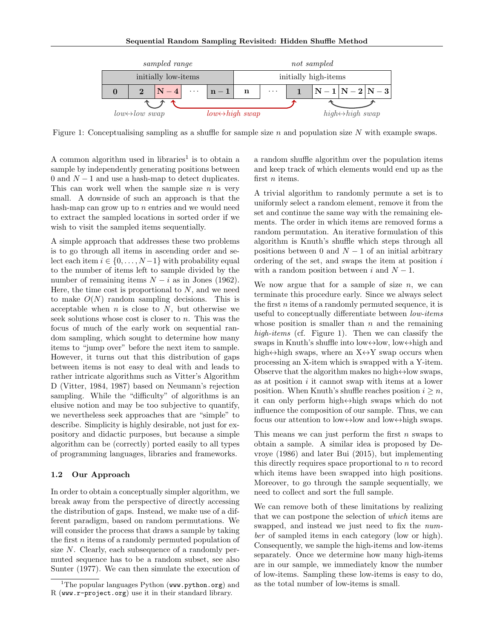

Figure 1: Conceptualising sampling as a shuffle for sample size  $n$  and population size  $N$  with example swaps.

A common algorithm used in libraries<sup>1</sup> is to obtain a sample by independently generating positions between 0 and  $N-1$  and use a hash-map to detect duplicates. This can work well when the sample size  $n$  is very small. A downside of such an approach is that the hash-map can grow up to  $n$  entries and we would need to extract the sampled locations in sorted order if we wish to visit the sampled items sequentially.

A simple approach that addresses these two problems is to go through all items in ascending order and select each item  $i \in \{0, \ldots, N-1\}$  with probability equal to the number of items left to sample divided by the number of remaining items  $N - i$  as in Jones (1962). Here, the time cost is proportional to  $N$ , and we need to make  $O(N)$  random sampling decisions. This is acceptable when  $n$  is close to  $N$ , but otherwise we seek solutions whose cost is closer to n. This was the focus of much of the early work on sequential random sampling, which sought to determine how many items to "jump over" before the next item to sample. However, it turns out that this distribution of gaps between items is not easy to deal with and leads to rather intricate algorithms such as Vitter's Algorithm D (Vitter, 1984, 1987) based on Neumann's rejection sampling. While the "difficulty" of algorithms is an elusive notion and may be too subjective to quantify, we nevertheless seek approaches that are "simple" to describe. Simplicity is highly desirable, not just for expository and didactic purposes, but because a simple algorithm can be (correctly) ported easily to all types of programming languages, libraries and frameworks.

## 1.2 Our Approach

In order to obtain a conceptually simpler algorithm, we break away from the perspective of directly accessing the distribution of gaps. Instead, we make use of a different paradigm, based on random permutations. We will consider the process that draws a sample by taking the first  $n$  items of a randomly permuted population of size N. Clearly, each subsequence of a randomly permuted sequence has to be a random subset, see also Sunter (1977). We can then simulate the execution of a random shuffle algorithm over the population items and keep track of which elements would end up as the first *n* items.

A trivial algorithm to randomly permute a set is to uniformly select a random element, remove it from the set and continue the same way with the remaining elements. The order in which items are removed forms a random permutation. An iterative formulation of this algorithm is Knuth's shuffle which steps through all positions between 0 and  $N-1$  of an initial arbitrary ordering of the set, and swaps the item at position  $i$ with a random position between i and  $N-1$ .

We now argue that for a sample of size  $n$ , we can terminate this procedure early. Since we always select the first  $n$  items of a randomly permuted sequence, it is useful to conceptually differentiate between low-items whose position is smaller than  $n$  and the remaining high-items (cf. Figure 1). Then we can classify the swaps in Knuth's shuffle into low $\leftrightarrow$ low, low $\leftrightarrow$ high and high $\leftrightarrow$ high swaps, where an  $X \leftrightarrow Y$  swap occurs when processing an X-item which is swapped with a Y-item. Observe that the algorithm makes no high $\leftrightarrow$ low swaps, as at position  $i$  it cannot swap with items at a lower position. When Knuth's shuffle reaches position  $i \geq n$ , it can only perform high↔high swaps which do not influence the composition of our sample. Thus, we can focus our attention to low $\leftrightarrow$ low and low $\leftrightarrow$ high swaps.

This means we can just perform the first  $n$  swaps to obtain a sample. A similar idea is proposed by Devroye (1986) and later Bui (2015), but implementing this directly requires space proportional to n to record which items have been swapped into high positions. Moreover, to go through the sample sequentially, we need to collect and sort the full sample.

We can remove both of these limitations by realizing that we can postpone the selection of which items are swapped, and instead we just need to fix the number of sampled items in each category (low or high). Consequently, we sample the high-items and low-items separately. Once we determine how many high-items are in our sample, we immediately know the number of low-items. Sampling these low-items is easy to do, as the total number of low-items is small.

<sup>&</sup>lt;sup>1</sup>The popular languages Python ( $ww.$ python.org) and R (www.r-project.org) use it in their standard library.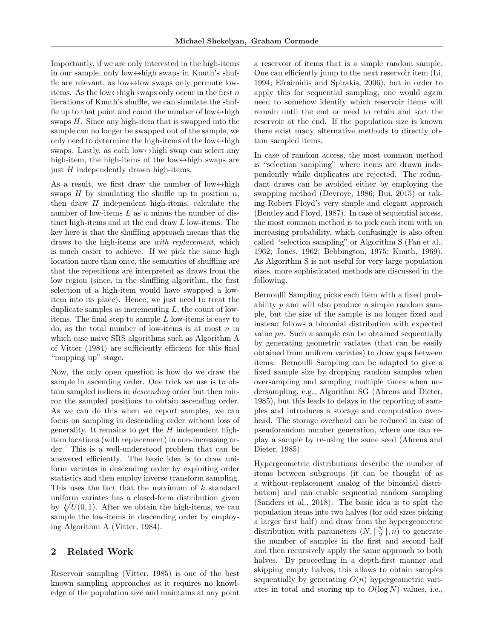Importantly, if we are only interested in the high-items in our sample, only low↔high swaps in Knuth's shuffle are relevant, as low $\leftrightarrow$ low swaps only permute lowitems. As the low $\leftrightarrow$ high swaps only occur in the first n iterations of Knuth's shuffle, we can simulate the shuffle up to that point and count the number of low $\leftrightarrow$ high swaps  $H$ . Since any high-item that is swapped into the sample can no longer be swapped out of the sample, we only need to determine the high-items of the low $\leftrightarrow$ high swaps. Lastly, as each low ↔ high swap can select any high-item, the high-items of the low $\leftrightarrow$ high swaps are just H independently drawn high-items.

As a result, we first draw the number of low $\leftrightarrow$ high swaps  $H$  by simulating the shuffle up to position  $n$ . then draw  $H$  independent high-items, calculate the number of low-items  $L$  as  $n$  minus the number of distinct high-items and at the end draw L low-items. The key here is that the shuffling approach means that the draws to the high-items are with replacement, which is much easier to achieve. If we pick the same high location more than once, the semantics of shuffling are that the repetitions are interpreted as draws from the low region (since, in the shuffling algorithm, the first selection of a high-item would have swapped a lowitem into its place). Hence, we just need to treat the duplicate samples as incrementing  $L$ , the count of lowitems. The final step to sample  $L$  low-items is easy to do, as the total number of low-items is at most  $n$  in which case naive SRS algorithms such as Algorithm A of Vitter (1984) are sufficiently efficient for this final "mopping up" stage.

Now, the only open question is how do we draw the sample in ascending order. One trick we use is to obtain sampled indices in descending order but then mirror the sampled positions to obtain ascending order. As we can do this when we report samples, we can focus on sampling in descending order without loss of generality. It remains to get the  $H$  independent highitem locations (with replacement) in non-increasing order. This is a well-understood problem that can be answered efficiently. The basic idea is to draw uniform variates in descending order by exploiting order statistics and then employ inverse transform sampling. This uses the fact that the maximum of k standard uniform variates has a closed-form distribution given by  $\sqrt[k]{U(0, 1)}$ . After we obtain the high-items, we can sample the low-items in descending order by employing Algorithm A (Vitter, 1984).

## 2 Related Work

Reservoir sampling (Vitter, 1985) is one of the best known sampling approaches as it requires no knowledge of the population size and maintains at any point a reservoir of items that is a simple random sample. One can efficiently jump to the next reservoir item (Li, 1994; Efraimidis and Spirakis, 2006), but in order to apply this for sequential sampling, one would again need to somehow identify which reservoir items will remain until the end or need to retain and sort the reservoir at the end. If the population size is known there exist many alternative methods to directly obtain sampled items.

In case of random access, the most common method is "selection sampling" where items are drawn independently while duplicates are rejected. The redundant draws can be avoided either by employing the swapping method (Devroye, 1986; Bui, 2015) or taking Robert Floyd's very simple and elegant approach (Bentley and Floyd, 1987). In case of sequential access, the most common method is to pick each item with an increasing probability, which confusingly is also often called "selection sampling" or Algorithm S (Fan et al., 1962; Jones, 1962; Bebbington, 1975; Knuth, 1969). As Algorithm S is not useful for very large population sizes, more sophisticated methods are discussed in the following.

Bernoulli Sampling picks each item with a fixed probability p and will also produce a simple random sample, but the size of the sample is no longer fixed and instead follows a binomial distribution with expected value pn. Such a sample can be obtained sequentially by generating geometric variates (that can be easily obtained from uniform variates) to draw gaps between items. Bernoulli Sampling can be adapted to give a fixed sample size by dropping random samples when oversampling and sampling multiple times when undersampling, e.g., Algorithm SG (Ahrens and Dieter, 1985), but this leads to delays in the reporting of samples and introduces a storage and computation overhead. The storage overhead can be reduced in case of pseudorandom number generation, where one can replay a sample by re-using the same seed (Ahrens and Dieter, 1985).

Hypergeometric distributions describe the number of items between subgroups (it can be thought of as a without-replacement analog of the binomial distribution) and can enable sequential random sampling (Sanders et al., 2018). The basic idea is to split the population items into two halves (for odd sizes picking a larger first half) and draw from the hypergeometric distribution with parameters  $(N, \lceil \frac{N}{2} \rceil, n)$  to generate the number of samples in the first and second half and then recursively apply the same approach to both halves. By proceeding in a depth-first manner and skipping empty halves, this allows to obtain samples sequentially by generating  $O(n)$  hypergeometric variates in total and storing up to  $O(\log N)$  values, i.e.,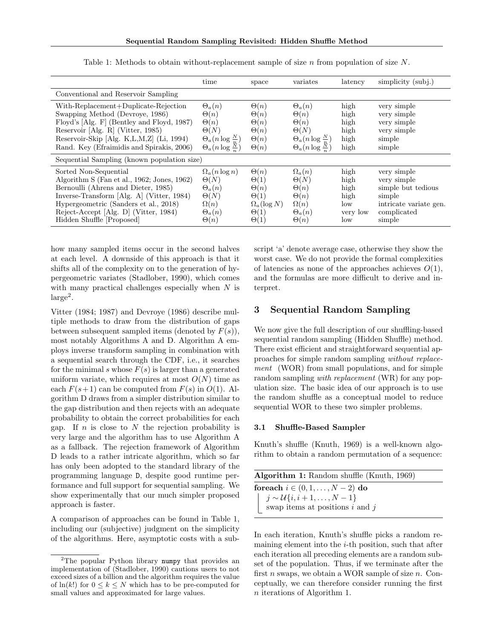|                                                                                                                                                                                                                                                                         | time                                                                                                                           | space                                                                                                        | variates                                                                                                                       | latency                                                | simplicity (subi.)                                                                                            |
|-------------------------------------------------------------------------------------------------------------------------------------------------------------------------------------------------------------------------------------------------------------------------|--------------------------------------------------------------------------------------------------------------------------------|--------------------------------------------------------------------------------------------------------------|--------------------------------------------------------------------------------------------------------------------------------|--------------------------------------------------------|---------------------------------------------------------------------------------------------------------------|
| Conventional and Reservoir Sampling                                                                                                                                                                                                                                     |                                                                                                                                |                                                                                                              |                                                                                                                                |                                                        |                                                                                                               |
| With-Replacement+Duplicate-Rejection<br>Swapping Method (Devroye, 1986)<br>Floyd's [Alg. F] (Bentley and Floyd, 1987)<br>Reservoir [Alg. R] (Vitter, 1985)<br>Reservoir-Skip [Alg. K,L,M,Z] (Li, 1994)<br>Rand. Key (Efraimidis and Spirakis, 2006)                     | $\Theta_a(n)$<br>$\Theta(n)$<br>$\Theta(n)$<br>$\Theta(N)$<br>$\Theta_a(n \log \frac{N}{n})$<br>$\Theta_a(n \log \frac{N}{n})$ | $\Theta(n)$<br>$\Theta(n)$<br>$\Theta(n)$<br>$\Theta(n)$<br>$\Theta(n)$<br>$\Theta(n)$                       | $\Theta_a(n)$<br>$\Theta(n)$<br>$\Theta(n)$<br>$\Theta(N)$<br>$\Theta_a(n \log \frac{N}{n})$<br>$\Theta_a(n \log \frac{N}{n})$ | high<br>high<br>high<br>high<br>high<br>high           | very simple<br>very simple<br>very simple<br>very simple<br>simple<br>simple                                  |
| Sequential Sampling (known population size)                                                                                                                                                                                                                             |                                                                                                                                |                                                                                                              |                                                                                                                                |                                                        |                                                                                                               |
| Sorted Non-Sequential<br>Algorithm S (Fan et al., 1962; Jones, 1962)<br>Bernoulli (Ahrens and Dieter, 1985)<br>Inverse-Transform [Alg. A] (Vitter, 1984)<br>Hypergeometric (Sanders et al., 2018)<br>Reject-Accept [Alg. D] (Vitter, 1984)<br>Hidden Shuffle [Proposed] | $\Omega_a(n \log n)$<br>$\Theta(N)$<br>$\Theta_a(n)$<br>$\Theta(N)$<br>$\Omega(n)$<br>$\Theta_a(n)$<br>$\Theta(n)$             | $\Theta(n)$<br>$\Theta(1)$<br>$\Theta(n)$<br>$\Theta(1)$<br>$\Omega_a(\log N)$<br>$\Theta(1)$<br>$\Theta(1)$ | $\Omega_a(n)$<br>$\Theta(N)$<br>$\Theta(n)$<br>$\Theta(n)$<br>$\Omega(n)$<br>$\Theta_a(n)$<br>$\Theta(n)$                      | high<br>high<br>high<br>high<br>low<br>very low<br>low | very simple<br>very simple<br>simple but tedious<br>simple<br>intricate variate gen.<br>complicated<br>simple |

Table 1: Methods to obtain without-replacement sample of size  $n$  from population of size  $N$ .

how many sampled items occur in the second halves at each level. A downside of this approach is that it shifts all of the complexity on to the generation of hypergeometric variates (Stadlober, 1990), which comes with many practical challenges especially when  $N$  is  $large<sup>2</sup>$ .

Vitter (1984; 1987) and Devroye (1986) describe multiple methods to draw from the distribution of gaps between subsequent sampled items (denoted by  $F(s)$ ), most notably Algorithms A and D. Algorithm A employs inverse transform sampling in combination with a sequential search through the CDF, i.e., it searches for the minimal s whose  $F(s)$  is larger than a generated uniform variate, which requires at most  $O(N)$  time as each  $F(s+1)$  can be computed from  $F(s)$  in  $O(1)$ . Algorithm D draws from a simpler distribution similar to the gap distribution and then rejects with an adequate probability to obtain the correct probabilities for each gap. If n is close to  $N$  the rejection probability is very large and the algorithm has to use Algorithm A as a fallback. The rejection framework of Algorithm D leads to a rather intricate algorithm, which so far has only been adopted to the standard library of the programming language D, despite good runtime performance and full support for sequential sampling. We show experimentally that our much simpler proposed approach is faster.

A comparison of approaches can be found in Table 1, including our (subjective) judgment on the simplicity of the algorithms. Here, asymptotic costs with a subscript 'a' denote average case, otherwise they show the worst case. We do not provide the formal complexities of latencies as none of the approaches achieves  $O(1)$ , and the formulas are more difficult to derive and interpret.

## 3 Sequential Random Sampling

We now give the full description of our shuffling-based sequential random sampling (Hidden Shuffle) method. There exist efficient and straightforward sequential approaches for simple random sampling without replacement (WOR) from small populations, and for simple random sampling *with replacement* (WR) for any population size. The basic idea of our approach is to use the random shuffle as a conceptual model to reduce sequential WOR to these two simpler problems.

#### 3.1 Shuffle-Based Sampler

Knuth's shuffle (Knuth, 1969) is a well-known algorithm to obtain a random permutation of a sequence:

| Algorithm 1: Random shuffle (Knuth, 1969) |
|-------------------------------------------|
| for each $i \in (0, 1, \ldots, N-2)$ do   |
| $  j \sim \mathcal{U}{i, i+1, , N-1}$     |
| swap items at positions $i$ and $j$       |

In each iteration, Knuth's shuffle picks a random remaining element into the  $i$ -th position, such that after each iteration all preceding elements are a random subset of the population. Thus, if we terminate after the first n swaps, we obtain a WOR sample of size  $n$ . Conceptually, we can therefore consider running the first n iterations of Algorithm 1.

<sup>&</sup>lt;sup>2</sup>The popular Python library numpy that provides an implementation of (Stadlober, 1990) cautions users to not exceed sizes of a billion and the algorithm requires the value of  $ln(k!)$  for  $0 \leq k \leq N$  which has to be pre-computed for small values and approximated for large values.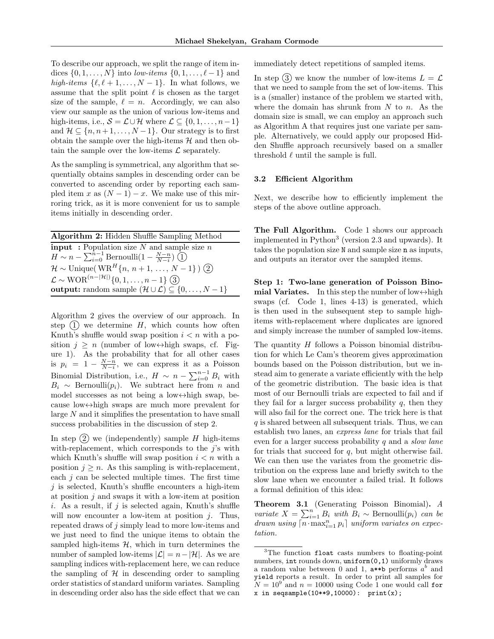To describe our approach, we split the range of item indices  $\{0, 1, \ldots, N\}$  into low-items  $\{0, 1, \ldots, \ell - 1\}$  and high-items  $\{\ell, \ell + 1, \ldots, N - 1\}$ . In what follows, we assume that the split point  $\ell$  is chosen as the target size of the sample,  $\ell = n$ . Accordingly, we can also view our sample as the union of various low-items and high-items, i.e.,  $S = \mathcal{L} \cup \mathcal{H}$  where  $\mathcal{L} \subseteq \{0, 1, \ldots, n-1\}$ and  $\mathcal{H} \subseteq \{n, n+1, \ldots, N-1\}$ . Our strategy is to first obtain the sample over the high-items  $H$  and then obtain the sample over the low-items  $\mathcal L$  separately.

As the sampling is symmetrical, any algorithm that sequentially obtains samples in descending order can be converted to ascending order by reporting each sampled item x as  $(N-1) - x$ . We make use of this mirroring trick, as it is more convenient for us to sample items initially in descending order.

| Algorithm 2: Hidden Shuffle Sampling Method                                          |
|--------------------------------------------------------------------------------------|
| <b>input</b> : Population size N and sample size $n$                                 |
| $H \sim n - \sum_{i=0}^{n-1} \text{Bernoulli}(1 - \frac{N-n}{N-i})$ (1)              |
| $\mathcal{H} \sim$ Unique(WR <sup>H</sup> {n, n + 1, , N - 1}) (2)                   |
| $\mathcal{L} \sim \text{WOR}^{(n- \mathcal{H} )}\{0, 1, \ldots, n-1\}$ (3)           |
| <b>output:</b> random sample $(\mathcal{H} \cup \mathcal{L}) \subseteq \{0, , N-1\}$ |

Algorithm 2 gives the overview of our approach. In step  $(1)$  we determine H, which counts how often Knuth's shuffle would swap position  $i < n$  with a position  $j \geq n$  (number of low  $\leftrightarrow$ high swaps, cf. Figure 1). As the probability that for all other cases is  $p_i = 1 - \frac{N-n}{N-i}$ , we can express it as a Poisson Binomial Distribution, i.e.,  $H \sim n - \sum_{i=0}^{n-1} B_i$  with  $B_i \sim \text{Bernoulli}(p_i)$ . We subtract here from *n* and model successes as not being a low $\leftrightarrow$ high swap, because low↔high swaps are much more prevalent for large N and it simplifies the presentation to have small success probabilities in the discussion of step 2.

In step  $(2)$  we (independently) sample H high-items with-replacement, which corresponds to the  $j$ 's with which Knuth's shuffle will swap position  $i < n$  with a position  $j \geq n$ . As this sampling is with-replacement, each  $j$  can be selected multiple times. The first time  $j$  is selected, Knuth's shuffle encounters a high-item at position  $j$  and swaps it with a low-item at position i. As a result, if  $j$  is selected again, Knuth's shuffle will now encounter a low-item at position  $j$ . Thus, repeated draws of j simply lead to more low-items and we just need to find the unique items to obtain the sampled high-items  $H$ , which in turn determines the number of sampled low-items  $|\mathcal{L}| = n - |\mathcal{H}|$ . As we are sampling indices with-replacement here, we can reduce the sampling of  $H$  in descending order to sampling order statistics of standard uniform variates. Sampling in descending order also has the side effect that we can immediately detect repetitions of sampled items.

In step (3) we know the number of low-items  $L = \mathcal{L}$ that we need to sample from the set of low-items. This is a (smaller) instance of the problem we started with, where the domain has shrunk from  $N$  to  $n$ . As the domain size is small, we can employ an approach such as Algorithm A that requires just one variate per sample. Alternatively, we could apply our proposed Hidden Shuffle approach recursively based on a smaller threshold  $\ell$  until the sample is full.

#### 3.2 Efficient Algorithm

Next, we describe how to efficiently implement the steps of the above outline approach.

The Full Algorithm. Code 1 shows our approach implemented in Python<sup>3</sup> (version 2.3 and upwards). It takes the population size N and sample size n as inputs, and outputs an iterator over the sampled items.

Step 1: Two-lane generation of Poisson Binomial Variates. In this step the number of low $\leftrightarrow$ high swaps (cf. Code 1, lines 4-13) is generated, which is then used in the subsequent step to sample highitems with-replacement where duplicates are ignored and simply increase the number of sampled low-items.

The quantity  $H$  follows a Poisson binomial distribution for which Le Cam's theorem gives approximation bounds based on the Poisson distribution, but we instead aim to generate a variate efficiently with the help of the geometric distribution. The basic idea is that most of our Bernoulli trials are expected to fail and if they fail for a larger success probability  $q$ , then they will also fail for the correct one. The trick here is that  $q$  is shared between all subsequent trials. Thus, we can establish two lanes, an express lane for trials that fail even for a larger success probability  $q$  and a *slow lane* for trials that succeed for  $q$ , but might otherwise fail. We can then use the variates from the geometric distribution on the express lane and briefly switch to the slow lane when we encounter a failed trial. It follows a formal definition of this idea:

Theorem 3.1 (Generating Poisson Binomial). A variate  $X = \sum_{i=1}^{n} B_i$  with  $B_i \sim \text{Bernoulli}(p_i)$  can be drawn using  $\lceil n \cdot \max_{i=1}^n p_i \rceil$  uniform variates on expectation.

<sup>3</sup>The function float casts numbers to floating-point numbers, int rounds down, uniform(0,1) uniformly draws a random value between 0 and 1,  $a**b$  performs  $a^b$  and yield reports a result. In order to print all samples for  $N = 10^{9}$  and  $n = 10000$  using Code 1 one would call for  $x$  in seqsample(10\*\*9,10000):  $print(x)$ ;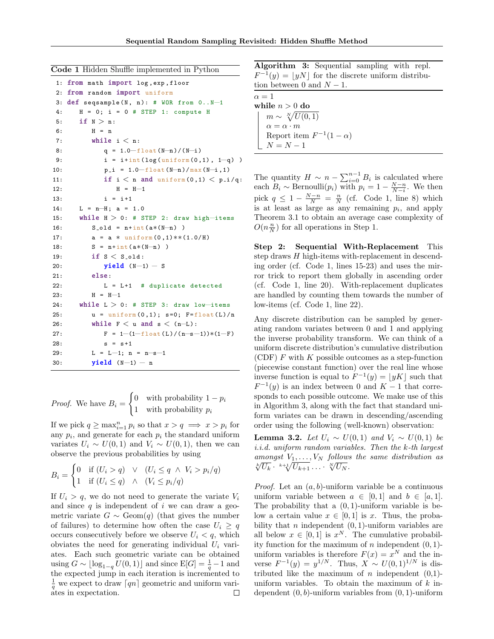Code 1 Hidden Shuffle implemented in Python

```
1: from math import log , exp , floor
2: from random import uniform
3: def seqsample (N, n): # WOR from 0...N-14: H = 0; i = 0 # STEP 1: compute H
5: if N > n:
6: H = n7: while i < n:
8: q = 1.0-f_{\text{lost}}(N-n)/(N-i)9: i = i + int (log (uniform(0,1), 1-q))10: p_i = 1.0 - f \text{lost} (N-n) / \text{max} (N-i, 1)11: if i < n and uniform (0,1) < p_i / q:
12: H = H-1
13: i = i+114: L = n−H; a = 1.0
15: while H > 0: # STEP 2: draw high−items
16: S_01d = n+int(a*(N-n))17: a = a * uniform (0, 1) * * (1.0/H)18: S = n + int(a * (N-n))19: if S < S old:
20: yield(N-1) - S21: else:
22: L = L+1 # duplicate detected
23: H = H-1
24: while L > 0: # STEP 3: draw low-items
25: u = \text{uniform}(0, 1); s = 0; F = \text{float}(L)/n26: while F < u and s < (n-L):
27: F = 1-(1-f\text{lost}(L)/(n-s-1))*(1-F)28: s = s+129: L = L−1; n = n−s−1
30: yield (N-1) - n
```
*Proof.* We have 
$$
B_i = \begin{cases} 0 & \text{with probability } 1 - p_i \\ 1 & \text{with probability } p_i \end{cases}
$$

If we pick  $q \ge \max_{i=1}^n p_i$  so that  $x > q \implies x > p_i$  for any  $p_i$ , and generate for each  $p_i$  the standard uniform variates  $U_i \sim U(0, 1)$  and  $V_i \sim U(0, 1)$ , then we can observe the previous probabilities by using

$$
B_i = \begin{cases} 0 & \text{if } (U_i > q) \quad \lor \quad (U_i \le q \land V_i > p_i/q) \\ 1 & \text{if } (U_i \le q) \quad \land \quad (V_i \le p_i/q) \end{cases}
$$

If  $U_i > q$ , we do not need to generate the variate  $V_i$ and since  $q$  is independent of  $i$  we can draw a geometric variate  $G \sim \text{Geom}(q)$  (that gives the number of failures) to determine how often the case  $U_i \geq q$ occurs consecutively before we observe  $U_i < q$ , which obviates the need for generating individual  $U_i$  variates. Each such geometric variate can be obtained using  $G \sim \lfloor \log_{1-q} U(0, 1) \rfloor$  and since  $E[G] = \frac{1}{q} - 1$  and the expected jump in each iteration is incremented to  $\frac{1}{q}$  we expect to draw  $\lceil qn \rceil$  geometric and uniform variates in expectation.

Algorithm 3: Sequential sampling with repl.  $F^{-1}(y) = |yN|$  for the discrete uniform distribution between 0 and  $N-1$ .

| $\alpha=1$                     |  |
|--------------------------------|--|
| while $n>0$ do                 |  |
| $m \sim \sqrt[N]{U(0,1)}$      |  |
| $\alpha = \alpha \cdot m$      |  |
| Report item $F^{-1}(1-\alpha)$ |  |
| $N = N - 1$                    |  |

The quantity  $H \sim n - \sum_{i=0}^{n-1} B_i$  is calculated where each  $B_i \sim \text{Bernoulli}(p_i)$  with  $p_i = 1 - \frac{N-n}{N-i}$ . We then pick  $q \leq 1 - \frac{N-n}{N} = \frac{n}{N}$  (cf. Code 1, line 8) which is at least as large as any remaining  $p_i$ , and apply Theorem 3.1 to obtain an average case complexity of  $O(n\frac{n}{N})$  for all operations in Step 1.

Step 2: Sequential With-Replacement This step draws H high-items with-replacement in descending order (cf. Code 1, lines 15-23) and uses the mirror trick to report them globally in ascending order (cf. Code 1, line 20). With-replacement duplicates are handled by counting them towards the number of low-items (cf. Code 1, line 22).

Any discrete distribution can be sampled by generating random variates between 0 and 1 and applying the inverse probability transform. We can think of a uniform discrete distribution's cumulative distribution (CDF)  $F$  with  $K$  possible outcomes as a step-function (piecewise constant function) over the real line whose inverse function is equal to  $F^{-1}(y) = \lfloor yK \rfloor$  such that  $F^{-1}(y)$  is an index between 0 and  $K-1$  that corresponds to each possible outcome. We make use of this in Algorithm 3, along with the fact that standard uniform variates can be drawn in descending/ascending order using the following (well-known) observation:

**Lemma 3.2.** Let  $U_i \sim U(0,1)$  and  $V_i \sim U(0,1)$  be i.i.d. uniform random variables. Then the k-th largest amongst  $V_1, \ldots, V_N$  follows the same distribution as  $\sqrt[k]{U_k} \cdot \sqrt[k+1]{U_{k+1}} \cdots \sqrt[N]{U_N}.$ 

*Proof.* Let an  $(a, b)$ -uniform variable be a continuous uniform variable between  $a \in [0,1]$  and  $b \in [a,1]$ . The probability that a  $(0, 1)$ -uniform variable is below a certain value  $x \in [0, 1]$  is x. Thus, the probability that *n* independent  $(0, 1)$ -uniform variables are all below  $x \in [0,1]$  is  $x^N$ . The cumulative probability function for the maximum of  $n$  independent  $(0, 1)$ uniform variables is therefore  $F(x) = x^N$  and the inverse  $F^{-1}(y) = y^{1/N}$ . Thus,  $X \sim U(0, 1)^{1/N}$  is distributed like the maximum of *n* independent  $(0,1)$ uniform variables. To obtain the maximum of  $k$  independent  $(0, b)$ -uniform variables from  $(0, 1)$ -uniform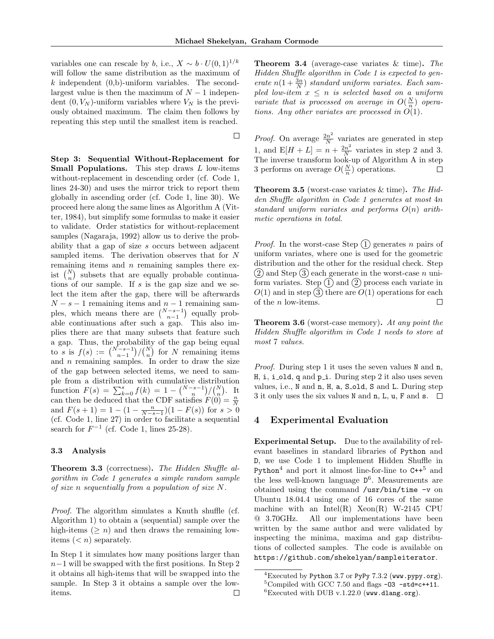$\Box$ 

variables one can rescale by b, i.e.,  $X \sim b \cdot U(0, 1)^{1/k}$ will follow the same distribution as the maximum of k independent  $(0,b)$ -uniform variables. The secondlargest value is then the maximum of  $N-1$  independent  $(0, V_N)$ -uniform variables where  $V_N$  is the previously obtained maximum. The claim then follows by repeating this step until the smallest item is reached.

Step 3: Sequential Without-Replacement for Small Populations. This step draws L low-items without-replacement in descending order (cf. Code 1, lines 24-30) and uses the mirror trick to report them globally in ascending order (cf. Code 1, line 30). We proceed here along the same lines as Algorithm A (Vitter, 1984), but simplify some formulas to make it easier to validate. Order statistics for without-replacement samples (Nagaraja, 1992) allow us to derive the probability that a gap of size s occurs between adjacent sampled items. The derivation observes that for N remaining items and  $n$  remaining samples there exist  $\binom{N}{n}$  subsets that are equally probable continuations of our sample. If s is the gap size and we select the item after the gap, there will be afterwards  $N - s - 1$  remaining items and  $n - 1$  remaining samples, which means there are  $\binom{N-s-1}{n-1}$  equally probable continuations after such a gap. This also implies there are that many subsets that feature such a gap. Thus, the probability of the gap being equal to s is  $f(s) := {N-s-1 \choose n-1} / {N \choose n}$  for N remaining items and  $n$  remaining samples. In order to draw the size of the gap between selected items, we need to sample from a distribution with cumulative distribution function  $F(s) = \sum_{k=0}^{s} f(k) = 1 - {N-s-1 \choose n} / {N \choose n}$ . It can then be deduced that the CDF satisfies  $F(0) = \frac{n}{N}$ and  $F(s + 1) = 1 - (1 - \frac{n}{N - s - 1})(1 - F(s))$  for  $s > 0$ (cf. Code 1, line 27) in order to facilitate a sequential search for  $F^{-1}$  (cf. Code 1, lines 25-28).

#### 3.3 Analysis

**Theorem 3.3** (correctness). The Hidden Shuffle algorithm in Code 1 generates a simple random sample of size n sequentially from a population of size N.

Proof. The algorithm simulates a Knuth shuffle (cf. Algorithm 1) to obtain a (sequential) sample over the high-items ( $\geq n$ ) and then draws the remaining lowitems  $(*n*)$  separately.

In Step 1 it simulates how many positions larger than  $n-1$  will be swapped with the first positions. In Step 2 it obtains all high-items that will be swapped into the sample. In Step 3 it obtains a sample over the lowitems.  $\Box$  Theorem 3.4 (average-case variates & time). The Hidden Shuffle algorithm in Code 1 is expected to generate  $n(1+\frac{3n}{N})$  standard uniform variates. Each sampled low-item  $x \leq n$  is selected based on a uniform variate that is processed on average in  $O(\frac{N}{n})$  operations. Any other variates are processed in  $\tilde{O(1)}$ .

*Proof.* On average  $\frac{2n^2}{N}$  $\frac{dn^2}{N}$  variates are generated in step 1, and  $E[H + L] = n + \frac{2n^2}{N}$  $\frac{m^2}{N}$  variates in step 2 and 3. The inverse transform look-up of Algorithm A in step 3 performs on average  $O(\frac{N}{n})$  operations.  $\Box$ 

**Theorem 3.5** (worst-case variates  $\&$  time). The Hidden Shuffle algorithm in Code 1 generates at most 4n standard uniform variates and performs  $O(n)$  arithmetic operations in total.

*Proof.* In the worst-case Step  $(1)$  generates n pairs of uniform variates, where one is used for the geometric distribution and the other for the residual check. Step  $(2)$  and Step  $(3)$  each generate in the worst-case n uniform variates. Step  $(1)$  and  $(2)$  process each variate in  $O(1)$  and in step  $\overline{3}$  there are  $O(1)$  operations for each of the n low-items.  $\Box$ 

Theorem 3.6 (worst-case memory). At any point the Hidden Shuffle algorithm in Code 1 needs to store at most 7 values.

Proof. During step 1 it uses the seven values N and n, H, i, i\_old, q and  $p_i$ . During step 2 it also uses seven values, i.e., N and n, H, a, S<sub>-old</sub>, S and L. During step 3 it only uses the six values N and n, L, u, F and s.  $\Box$ 

## 4 Experimental Evaluation

Experimental Setup. Due to the availability of relevant baselines in standard libraries of Python and D, we use Code 1 to implement Hidden Shuffle in Python<sup>4</sup> and port it almost line-for-line to  $C++^5$  and the less well-known language D 6 . Measurements are obtained using the command /usr/bin/time -v on Ubuntu 18.04.4 using one of 16 cores of the same machine with an Intel $(R)$  Xeon $(R)$  W-2145 CPU @ 3.70GHz. All our implementations have been written by the same author and were validated by inspecting the minima, maxima and gap distributions of collected samples. The code is available on https://github.com/shekelyan/sampleiterator.

 ${}^{4}$ Executed by Python 3.7 or PyPy 7.3.2 (www.pypy.org).  $5$ Compiled with GCC 7.50 and flags  $-03$   $-std=c++11$ .

 ${}^{6}$ Executed with DUB v.1.22.0 (www.dlang.org).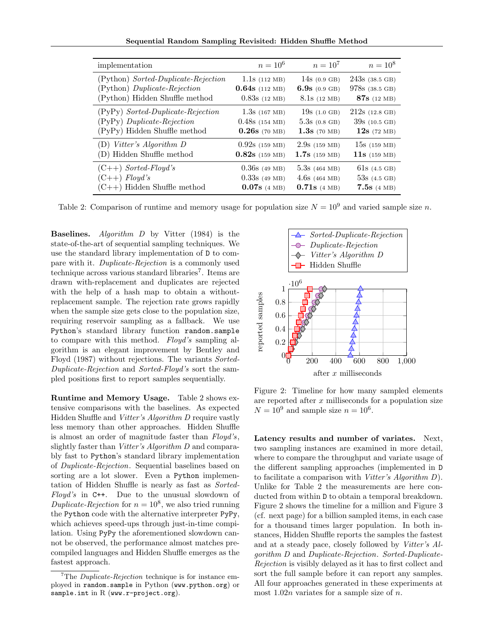Sequential Random Sampling Revisited: Hidden Shuffle Method

| implementation                      | $n = 10^6$       | $n = 10^{7}$            | $n = 10^8$                    |
|-------------------------------------|------------------|-------------------------|-------------------------------|
| (Python) Sorted-Duplicate-Rejection | $1.1s$ (112 MB)  | 14s $(0.9 \text{ GB})$  | $243s$ (38.5 GB)              |
| (Python) Duplicate-Rejection        | $0.64s$ (112 MB) | 6.9s $(0.9 \text{ GB})$ | $978s$ (38.5 GB)              |
| (Python) Hidden Shuffle method      | $0.83s$ (12 MB)  | $8.1s$ (12 MB)          | 87s (12 MB)                   |
| (PyPy) Sorted-Duplicate-Rejection   | $1.3s$ (167 MB)  | $19s$ (1.0 GB)          | $212s$ (12.8 GB)              |
| (PyPy) Duplicate-Rejection          | $0.48s$ (154 MB) | $5.3s$ (0.8 GB)         | $39s$ (10.5 GB)               |
| (PyPy) Hidden Shuffle method        | $0.26s$ (70 MB)  | $1.3s$ (70 MB)          | $12s$ (72 MB)                 |
| (D) Vitter's Algorithm D            | $0.92s$ (159 MB) | $2.9s$ (159 MB)         | $15s$ (159 MB)                |
| (D) Hidden Shuffle method           | $0.82s$ (159 MB) | $1.7s$ (159 MB)         | <b>11s</b> $(159 \text{ MB})$ |
| $(C++)$ Sorted-Floyd's              | $0.36s$ (49 MB)  | $5.3s$ (464 MB)         | $61s$ (4.5 GB)                |
| $(C++)$ Floyd's                     | $0.33s$ (49 MB)  | $4.6s$ (464 MB)         | $53s$ (4.5 GB)                |
| $(C++)$ Hidden Shuffle method       | $0.07s$ (4 MB)   | $0.71s$ (4 MB)          | $7.5s$ (4 MB)                 |

Table 2: Comparison of runtime and memory usage for population size  $N = 10^9$  and varied sample size n.

Baselines. Algorithm D by Vitter (1984) is the state-of-the-art of sequential sampling techniques. We use the standard library implementation of D to compare with it. Duplicate-Rejection is a commonly used technique across various standard libraries<sup>7</sup>. Items are drawn with-replacement and duplicates are rejected with the help of a hash map to obtain a withoutreplacement sample. The rejection rate grows rapidly when the sample size gets close to the population size, requiring reservoir sampling as a fallback. We use Python's standard library function random.sample to compare with this method. Floyd's sampling algorithm is an elegant improvement by Bentley and Floyd (1987) without rejections. The variants Sorted-Duplicate-Rejection and Sorted-Floyd's sort the sampled positions first to report samples sequentially.

Runtime and Memory Usage. Table 2 shows extensive comparisons with the baselines. As expected Hidden Shuffle and Vitter's Algorithm D require vastly less memory than other approaches. Hidden Shuffle is almost an order of magnitude faster than Floyd's, slightly faster than Vitter's Algorithm D and comparably fast to Python's standard library implementation of Duplicate-Rejection. Sequential baselines based on sorting are a lot slower. Even a Python implementation of Hidden Shuffle is nearly as fast as Sorted-Floyd's in C++. Due to the unusual slowdown of Duplicate-Rejection for  $n = 10^8$ , we also tried running the Python code with the alternative interpreter PyPy, which achieves speed-ups through just-in-time compilation. Using PyPy the aforementioned slowdown cannot be observed, the performance almost matches precompiled languages and Hidden Shuffle emerges as the fastest approach.



Figure 2: Timeline for how many sampled elements are reported after x milliseconds for a population size  $N = 10^9$  and sample size  $n = 10^6$ .

Latency results and number of variates. Next, two sampling instances are examined in more detail, where to compare the throughput and variate usage of the different sampling approaches (implemented in D to facilitate a comparison with Vitter's Algorithm  $D$ ). Unlike for Table 2 the measurements are here conducted from within D to obtain a temporal breakdown. Figure 2 shows the timeline for a million and Figure 3 (cf. next page) for a billion sampled items, in each case for a thousand times larger population. In both instances, Hidden Shuffle reports the samples the fastest and at a steady pace, closely followed by Vitter's Algorithm D and Duplicate-Rejection. Sorted-Duplicate-Rejection is visibly delayed as it has to first collect and sort the full sample before it can report any samples. All four approaches generated in these experiments at most  $1.02n$  variates for a sample size of n.

 $7$ The *Duplicate-Rejection* technique is for instance employed in random.sample in Python (www.python.org) or sample.int in R (www.r-project.org).